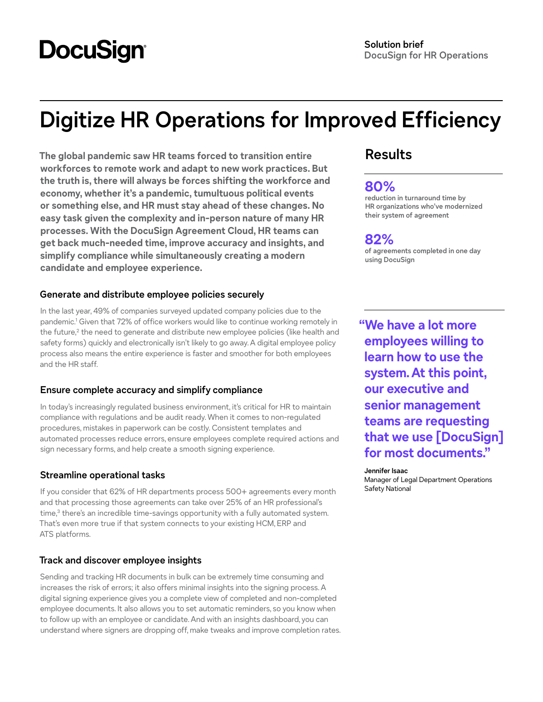# **DocuSign**

# **Digitize HR Operations for Improved Efficiency**

**The global pandemic saw HR teams forced to transition entire workforces to remote work and adapt to new work practices. But the truth is, there will always be forces shifting the workforce and economy, whether it's a pandemic, tumultuous political events or something else, and HR must stay ahead of these changes. No easy task given the complexity and in-person nature of many HR processes. With the DocuSign Agreement Cloud, HR teams can get back much-needed time, improve accuracy and insights, and simplify compliance while simultaneously creating a modern candidate and employee experience.** 

# **Generate and distribute employee policies securely**

In the last year, 49% of companies surveyed updated company policies due to the pandemic.<sup>1</sup> Given that 72% of office workers would like to continue working remotely in the future,<sup>2</sup> the need to generate and distribute new employee policies (like health and safety forms) quickly and electronically isn't likely to go away. A digital employee policy process also means the entire experience is faster and smoother for both employees and the HR staff.

# **Ensure complete accuracy and simplify compliance**

In today's increasingly regulated business environment, it's critical for HR to maintain compliance with regulations and be audit ready. When it comes to non-regulated procedures, mistakes in paperwork can be costly. Consistent templates and automated processes reduce errors, ensure employees complete required actions and sign necessary forms, and help create a smooth signing experience.

# **Streamline operational tasks**

If you consider that 62% of HR departments process 500+ agreements every month and that processing those agreements can take over 25% of an HR professional's time,<sup>3</sup> there's an incredible time-savings opportunity with a fully automated system. That's even more true if that system connects to your existing HCM, ERP and ATS platforms.

# **Track and discover employee insights**

Sending and tracking HR documents in bulk can be extremely time consuming and increases the risk of errors; it also offers minimal insights into the signing process. A digital signing experience gives you a complete view of completed and non-completed employee documents. It also allows you to set automatic reminders, so you know when to follow up with an employee or candidate. And with an insights dashboard, you can understand where signers are dropping off, make tweaks and improve completion rates.

# **Results**

# **80%**

**reduction in turnaround time by HR organizations who've modernized their system of agreement**

# **82%**

**of agreements completed in one day using DocuSign**

**"We have a lot more employees willing to learn how to use the system. At this point, our executive and senior management teams are requesting that we use [DocuSign] for most documents."**

#### **Jennifer Isaac**

Manager of Legal Department Operations Safety National